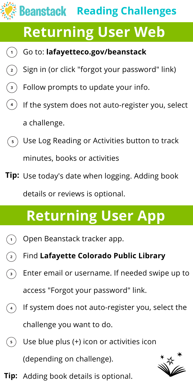# **Beanstack Reading Challenges**

#### **Returning User Web**

- Go to: **lafayetteco.gov/beanstack**  $(1)$
- Sign in (or click "forgot your password" link)  $\left( \begin{array}{c} 2 \end{array} \right)$
- Follow prompts to update your info.  $\left(3\right)$
- $\left(4\right)$ If the system does not auto-register you, select a challenge.
- $\binom{1}{3}$  Use Log Reading or Activities button to track minutes, books or activities
- **Tip:** Use today's date when logging. Adding book details or reviews is optional.

# **Returning User App**

- Open Beanstack tracker app.  $\mathbf 1$
- $\left( \begin{array}{c} 2 \end{array} \right)$ Find **Lafayette Colorado Public Library**
- Enter email or username. If needed swipe up to  $\left(3\right)$ access "Forgot your password" link.
- If system does not auto-register you, select the  $\left(4\right)$ challenge you want to do.
- Use blue plus (+) icon or activities icon  $(5)$

(depending on challenge).



**Tip:** Adding book details is optional.